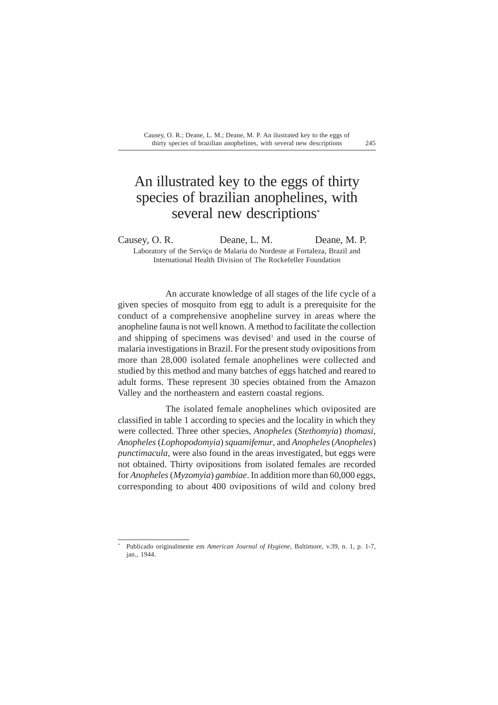# An illustrated key to the eggs of thirty species of brazilian anophelines, with several new descriptions\*

Causey, O. R. Deane, L. M. Deane, M. P. Laboratory of the Serviço de Malaria do Nordeste at Fortaleza, Brazil and International Health Division of The Rockefeller Foundation

An accurate knowledge of all stages of the life cycle of a given species of mosquito from egg to adult is a prerequisite for the conduct of a comprehensive anopheline survey in areas where the anopheline fauna is not well known. A method to facilitate the collection and shipping of specimens was devised<sup>1</sup> and used in the course of malaria investigations in Brazil. For the present study ovipositions from more than 28,000 isolated female anophelines were collected and studied by this method and many batches of eggs hatched and reared to adult forms. These represent 30 species obtained from the Amazon Valley and the northeastern and eastern coastal regions.

The isolated female anophelines which oviposited are classified in table 1 according to species and the locality in which they were collected. Three other species, *Anopheles* (*Stethomyia*) *thomasi*, *Anopheles* (*Lophopodomyia*) *squamifemur*, and *Anopheles* (*Anopheles*) *punctimacula*, were also found in the areas investigated, but eggs were not obtained. Thirty ovipositions from isolated females are recorded for *Anopheles* (*Myzomyia*) *gambiae*. In addition more than 60,000 eggs, corresponding to about 400 ovipositions of wild and colony bred

<sup>\*</sup> Publicado originalmente em *American Journal of Hygiene*, Baltimore, v.39, n. 1, p. 1-7, jan., 1944.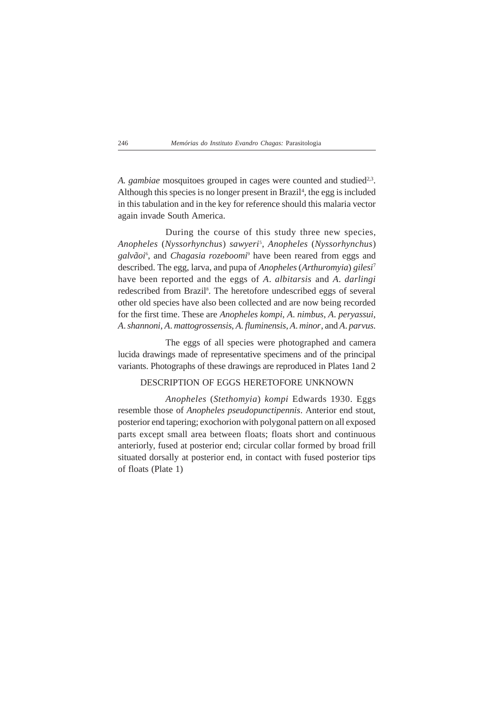*A. gambiae* mosquitoes grouped in cages were counted and studied<sup>2,3</sup>. Although this species is no longer present in Brazil<sup>4</sup>, the egg is included in this tabulation and in the key for reference should this malaria vector again invade South America.

During the course of this study three new species, *Anopheles* (*Nyssorhynchus*) *sawyeri*<sup>5</sup> , *Anopheles* (*Nyssorhynchus*) *galvãoi*<sup>6</sup> , and *Chagasia rozeboomi*<sup>9</sup> have been reared from eggs and described. The egg, larva, and pupa of *Anopheles* (*Arthuromyia*) *gilesi*<sup>7</sup> have been reported and the eggs of *A*. *albitarsis* and *A*. *darlingi* redescribed from Brazil<sup>8</sup>. The heretofore undescribed eggs of several other old species have also been collected and are now being recorded for the first time. These are *Anopheles kompi*, *A*. *nimbus*, *A*. *peryassui*, *A*. *shannoni*, *A*. *mattogrossensis*, *A*. *fluminensis*, *A*. *minor*, and *A*. *parvus*.

The eggs of all species were photographed and camera lucida drawings made of representative specimens and of the principal variants. Photographs of these drawings are reproduced in Plates 1and 2

### DESCRIPTION OF EGGS HERETOFORE UNKNOWN

*Anopheles* (*Stethomyia*) *kompi* Edwards 1930. Eggs resemble those of *Anopheles pseudopunctipennis*. Anterior end stout, posterior end tapering; exochorion with polygonal pattern on all exposed parts except small area between floats; floats short and continuous anteriorly, fused at posterior end; circular collar formed by broad frill situated dorsally at posterior end, in contact with fused posterior tips of floats (Plate 1)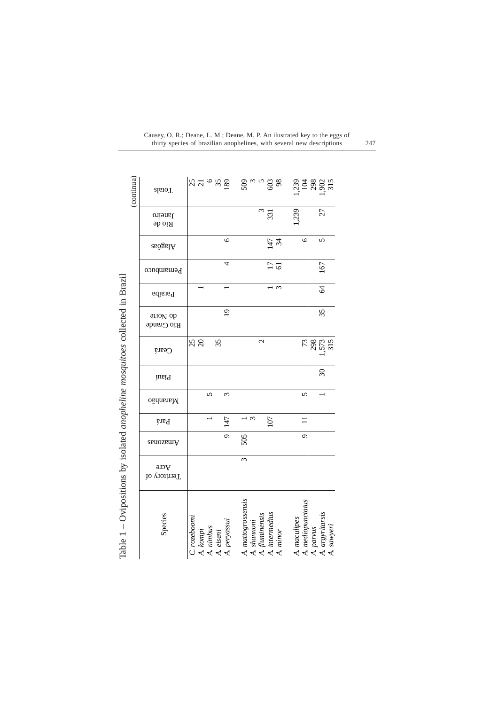| (continua)                                                                   | Totals                   | $37 - 58$                                          |                    | និ <sub>យ ಒ</sub> ದಿ ខ្ល                            |                            |                                   | 3288.55                                    |
|------------------------------------------------------------------------------|--------------------------|----------------------------------------------------|--------------------|-----------------------------------------------------|----------------------------|-----------------------------------|--------------------------------------------|
|                                                                              | Janeiro<br>$\rm{Bio}$ de |                                                    |                    | $\omega$                                            | 331                        | ,239                              | 27                                         |
|                                                                              | $a$ sa $b$ asa $A$       |                                                    | 6                  |                                                     | $147$<br>34                | $\circ$                           | $\sqrt{2}$                                 |
|                                                                              | Pernambuco               |                                                    | 4                  |                                                     | $\frac{17}{6}$             |                                   | 167                                        |
|                                                                              | <b>Paraíba</b>           |                                                    |                    |                                                     | $\mathfrak{g}$             |                                   | $\mathcal{Z}$                              |
|                                                                              | anoV ob<br>Rio Grande    |                                                    | $\overline{0}$     |                                                     |                            |                                   | 35                                         |
|                                                                              | Ceará                    | 25                                                 | 35                 | $\overline{\mathcal{C}}$                            |                            |                                   | 73<br>295<br>1573<br>315                   |
|                                                                              | Piauí                    |                                                    |                    |                                                     |                            |                                   | $\overline{30}$                            |
|                                                                              | Maranhão                 | 5                                                  | $\epsilon$         |                                                     |                            | 5                                 |                                            |
|                                                                              | <b>Pará</b>              |                                                    | 147                | i س                                                 | 107                        |                                   |                                            |
|                                                                              | <b>Anazam</b>            |                                                    | $\overline{\circ}$ | 505                                                 |                            | $\sigma$                          |                                            |
|                                                                              | Acre<br>Territory of     |                                                    |                    | $\omega$                                            |                            |                                   |                                            |
| Table 1 - Ovipositions by isolated anopheline mosquitoes collected in Brazil | Species                  | C. rozeboomi<br>A. kompi<br>A. nimbus<br>A. eiseni | A. peryassui       | A. mattogrossensis<br>A. fluminensis<br>A. shannoni | A. intermedius<br>A. minor | A. mediopunctatus<br>A. maculipes | A. argyritarsis<br>A. sawyeri<br>A. parvus |

| Causey, O. R.; Deane, L. M.; Deane, M. P. An ilustrated key to the eggs of |     |
|----------------------------------------------------------------------------|-----|
| thirty species of brazilian anophelines, with several new descriptions     | 247 |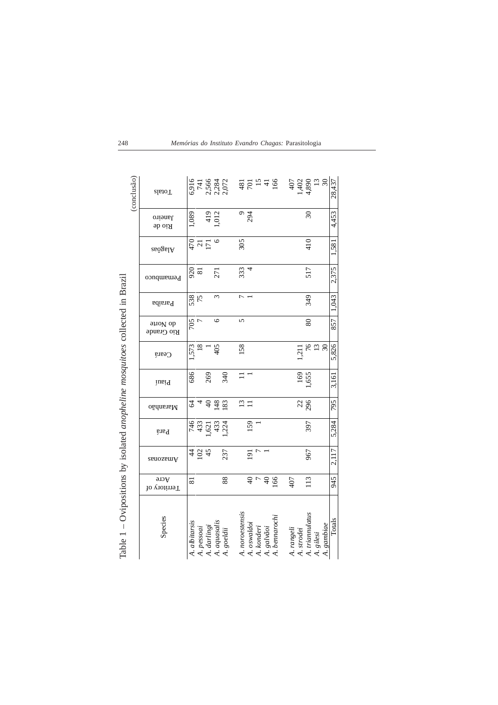|                                                                              | (conclusão) | <b>z</b> letoT                | 6,916<br>741  |                |                                 | 2,566<br>2,284<br>2,072 |            |                 | $\frac{42}{9}$ $\frac{15}{9}$ $\frac{42}{9}$ |                             |            |               | 407        |            | $1,402$<br>4,890<br>13 | 30                      | 28,437 |
|------------------------------------------------------------------------------|-------------|-------------------------------|---------------|----------------|---------------------------------|-------------------------|------------|-----------------|----------------------------------------------|-----------------------------|------------|---------------|------------|------------|------------------------|-------------------------|--------|
|                                                                              |             | Janeiro<br>sb oiA             | 1,089         |                |                                 | $\frac{419}{012}$       |            | $\circ$         | 294                                          |                             |            |               |            |            | $\mathcal{S}$          |                         | 4,453  |
|                                                                              |             | Alagôas                       |               |                | $\frac{5}{4}$ and $\frac{1}{2}$ | $\circ$                 |            | 305             |                                              |                             |            |               |            |            | 410                    |                         | 1,581  |
|                                                                              |             | Pernambuco                    | 920<br>81     |                |                                 | 271                     |            | 333             | 4                                            |                             |            |               |            |            | 517                    |                         | 2,375  |
|                                                                              |             | <b>Paraíba</b>                | 538<br>75     |                |                                 | 3                       |            |                 |                                              |                             |            |               |            |            | 349                    |                         | 1,043  |
|                                                                              |             | anoV ob<br>Rio Grande         | 705           | $\overline{ }$ |                                 | $\circ$                 |            | 5               |                                              |                             |            |               |            |            | 80                     |                         | 857    |
|                                                                              |             | Ceará                         | 1,573         | $\frac{8}{18}$ |                                 | 405                     |            | 158             |                                              |                             |            |               |            | 1,211      |                        | $76$ $\frac{2}{3}$      | 5,826  |
|                                                                              |             | iusiq                         | 686           |                | 269                             |                         | 340        | $\equiv$        |                                              |                             |            |               |            |            | 169<br>1,655           |                         | 3,161  |
|                                                                              |             | Maranhão                      | Z             | 4              | $\varphi$                       | 148                     | 83         |                 | $\frac{13}{11}$                              |                             |            |               |            |            | 296                    |                         | 795    |
|                                                                              |             | Pará                          |               |                | 743<br>433<br>621               | 433                     | 224        |                 | 159                                          |                             |            |               |            |            | 397                    |                         | 5,284  |
|                                                                              |             | Amazonas                      | $\frac{4}{4}$ |                | 102                             |                         | 237        |                 | 191                                          |                             |            |               |            |            | 967                    |                         | 2,117  |
|                                                                              |             | $\forall$ cre<br>Territory of | 81            |                |                                 |                         | 88         |                 |                                              | $\frac{1}{2}$ $\frac{1}{2}$ |            | 166           | 407        |            | 113                    |                         | 945    |
| Table 1 - Ovipositions by isolated anopheline mosquitoes collected in Brazil |             | Species                       | A. albitarsis | A. pessoai     | A. darlingi                     | A. aquasalis            | A. goeldii | A. noroestensis | A. oswaldoi                                  | A. konderi                  | A. galvãoi | A. bennarochi | A. rangeli | A. strodei | A. triannulatus        | A. gambiae<br>A. gilesi | Totals |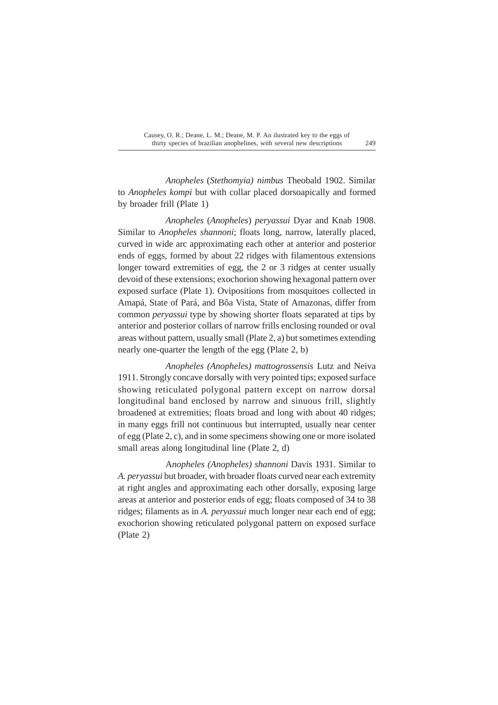*Anopheles* (*Stethomyia) nimbus* Theobald 1902. Similar to *Anopheles kompi* but with collar placed dorsoapically and formed by broader frill (Plate 1)

*Anopheles* (*Anopheles*) *peryassui* Dyar and Knab 1908. Similar to *Anopheles shannoni*; floats long, narrow, laterally placed, curved in wide arc approximating each other at anterior and posterior ends of eggs, formed by about 22 ridges with filamentous extensions longer toward extremities of egg, the 2 or 3 ridges at center usually devoid of these extensions; exochorion showing hexagonal pattern over exposed surface (Plate 1). Ovipositions from mosquitoes collected in Amapá, State of Pará, and Bôa Vista, State of Amazonas, differ from common *peryassui* type by showing shorter floats separated at tips by anterior and posterior collars of narrow frills enclosing rounded or oval areas without pattern, usually small (Plate 2, a) but sometimes extending nearly one-quarter the length of the egg (Plate 2, b)

*Anopheles (Anopheles) mattogrossensis* Lutz and Neiva 1911. Strongly concave dorsally with very pointed tips; exposed surface showing reticulated polygonal pattern except on narrow dorsal longitudinal band enclosed by narrow and sinuous frill, slightly broadened at extremities; floats broad and long with about 40 ridges; in many eggs frill not continuous but interrupted, usually near center of egg (Plate 2, c), and in some specimens showing one or more isolated small areas along longitudinal line (Plate 2, d)

A*nopheles (Anopheles) shannoni* Davis 1931. Similar to *A. peryassui* but broader, with broader floats curved near each extremity at right angles and approximating each other dorsally, exposing large areas at anterior and posterior ends of egg; floats composed of 34 to 38 ridges; filaments as in *A. peryassui* much longer near each end of egg; exochorion showing reticulated polygonal pattern on exposed surface (Plate 2)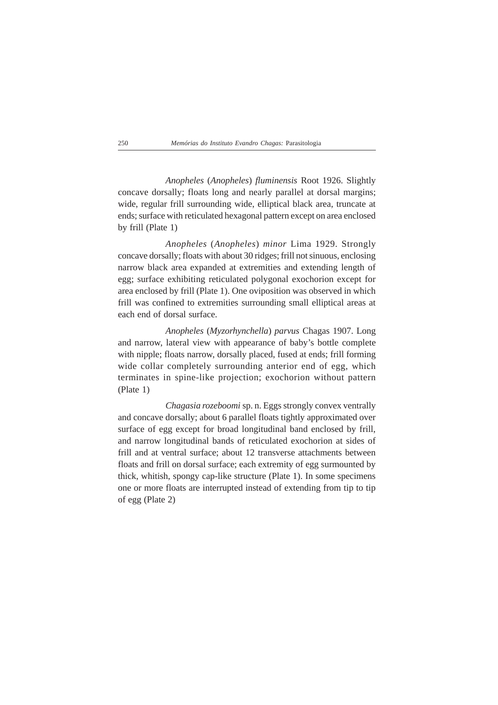*Anopheles* (*Anopheles*) *fluminensis* Root 1926. Slightly concave dorsally; floats long and nearly parallel at dorsal margins; wide, regular frill surrounding wide, elliptical black area, truncate at ends; surface with reticulated hexagonal pattern except on area enclosed by frill (Plate 1)

*Anopheles* (*Anopheles*) *minor* Lima 1929. Strongly concave dorsally; floats with about 30 ridges; frill not sinuous, enclosing narrow black area expanded at extremities and extending length of egg; surface exhibiting reticulated polygonal exochorion except for area enclosed by frill (Plate 1). One oviposition was observed in which frill was confined to extremities surrounding small elliptical areas at each end of dorsal surface.

*Anopheles* (*Myzorhynchella*) *parvus* Chagas 1907. Long and narrow, lateral view with appearance of baby's bottle complete with nipple; floats narrow, dorsally placed, fused at ends; frill forming wide collar completely surrounding anterior end of egg, which terminates in spine-like projection; exochorion without pattern (Plate 1)

*Chagasia rozeboomi* sp. n. Eggs strongly convex ventrally and concave dorsally; about 6 parallel floats tightly approximated over surface of egg except for broad longitudinal band enclosed by frill, and narrow longitudinal bands of reticulated exochorion at sides of frill and at ventral surface; about 12 transverse attachments between floats and frill on dorsal surface; each extremity of egg surmounted by thick, whitish, spongy cap-like structure (Plate 1). In some specimens one or more floats are interrupted instead of extending from tip to tip of egg (Plate 2)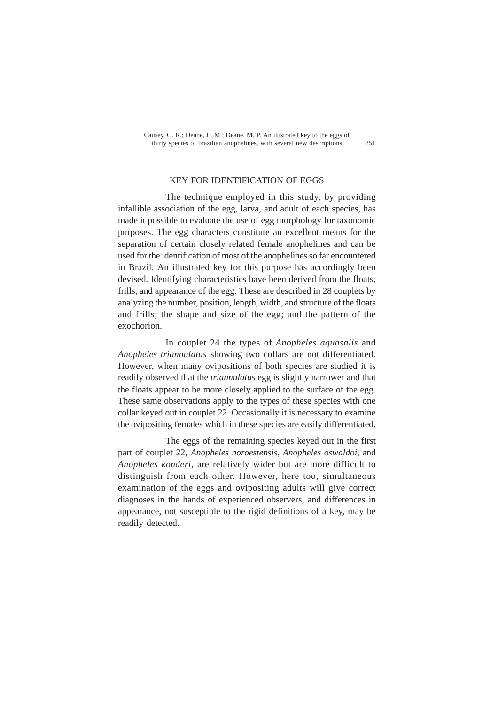### KEY FOR IDENTIFICATION OF EGGS

The technique employed in this study, by providing infallible association of the egg, larva, and adult of each species, has made it possible to evaluate the use of egg morphology for taxonomic purposes. The egg characters constitute an excellent means for the separation of certain closely related female anophelines and can be used for the identification of most of the anophelines so far encountered in Brazil. An illustrated key for this purpose has accordingly been devised. Identifying characteristics have been derived from the floats, frills, and appearance of the egg. These are described in 28 couplets by analyzing the number, position, length, width, and structure of the floats and frills; the shape and size of the egg; and the pattern of the exochorion.

In couplet 24 the types of *Anopheles aquasalis* and *Anopheles triannulatus* showing two collars are not differentiated. However, when many ovipositions of both species are studied it is readily observed that the *triannulatus* egg is slightly narrower and that the floats appear to be more closely applied to the surface of the egg. These same observations apply to the types of these species with one collar keyed out in couplet 22. Occasionally it is necessary to examine the ovipositing females which in these species are easily differentiated.

The eggs of the remaining species keyed out in the first part of couplet 22, *Anopheles noroestensis*, *Anopheles oswaldoi*, and *Anopheles konderi*, are relatively wider but are more difficult to distinguish from each other. However, here too, simultaneous examination of the eggs and ovipositing adults will give correct diagnoses in the hands of experienced observers, and differences in appearance, not susceptible to the rigid definitions of a key, may be readily detected.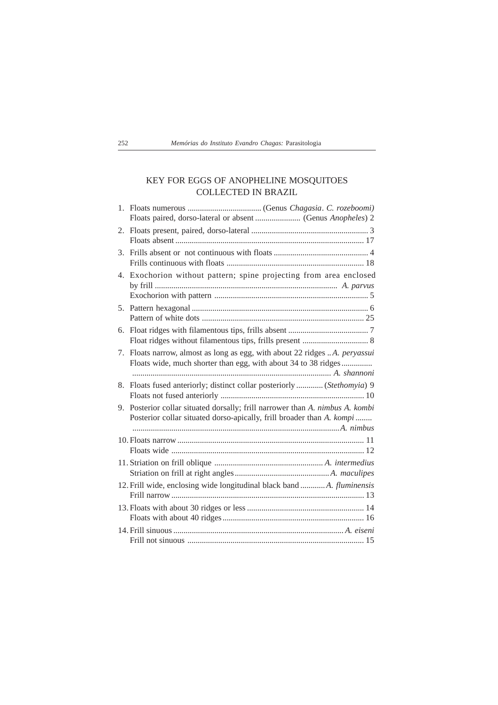| 252 | Memórias do Instituto Evandro Chagas: Parasitologia |  |  |  |  |  |  |
|-----|-----------------------------------------------------|--|--|--|--|--|--|
|-----|-----------------------------------------------------|--|--|--|--|--|--|

## KEY FOR EGGS OF ANOPHELINE MOSQUITOES COLLECTED IN BRAZIL

| 2. |                                                                                                                                                        |
|----|--------------------------------------------------------------------------------------------------------------------------------------------------------|
| 3. |                                                                                                                                                        |
| 4. | Exochorion without pattern; spine projecting from area enclosed                                                                                        |
|    |                                                                                                                                                        |
| 6. |                                                                                                                                                        |
| 7. | Floats narrow, almost as long as egg, with about 22 ridges A. peryassui<br>Floats wide, much shorter than egg, with about 34 to 38 ridges              |
| 8. | Floats fused anteriorly; distinct collar posteriorly  (Stethomyia) 9                                                                                   |
|    | 9. Posterior collar situated dorsally; frill narrower than A. nimbus A. kombi<br>Posterior collar situated dorso-apically, frill broader than A. kompi |
|    |                                                                                                                                                        |
|    |                                                                                                                                                        |
|    | 12. Frill wide, enclosing wide longitudinal black band  A. fluminensis                                                                                 |
|    |                                                                                                                                                        |
|    |                                                                                                                                                        |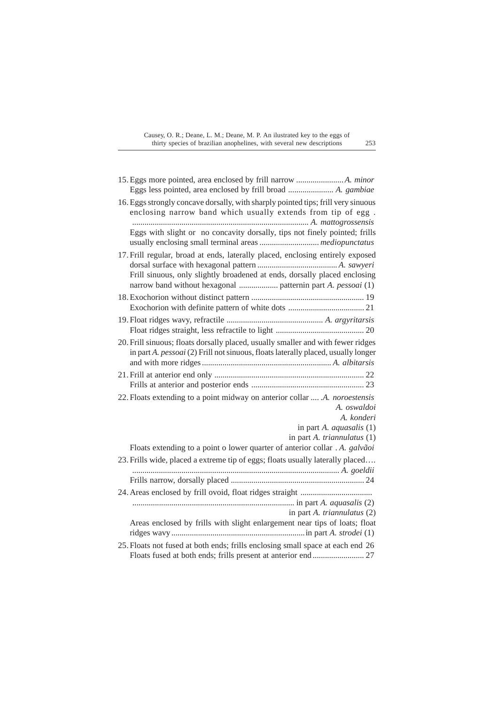| Eggs less pointed, area enclosed by frill broad  A. gambiae                                                                                                           |
|-----------------------------------------------------------------------------------------------------------------------------------------------------------------------|
| 16. Eggs strongly concave dorsally, with sharply pointed tips; frill very sinuous<br>enclosing narrow band which usually extends from tip of egg.                     |
| Eggs with slight or no concavity dorsally, tips not finely pointed; frills                                                                                            |
| 17. Frill regular, broad at ends, laterally placed, enclosing entirely exposed<br>Frill sinuous, only slightly broadened at ends, dorsally placed enclosing           |
|                                                                                                                                                                       |
|                                                                                                                                                                       |
| 20. Frill sinuous; floats dorsally placed, usually smaller and with fewer ridges<br>in part A. pessoai (2) Frill not sinuous, floats laterally placed, usually longer |
|                                                                                                                                                                       |
| 22. Floats extending to a point midway on anterior collar  .A. noroestensis<br>A. oswaldoi<br>A. konderi                                                              |
| in part $A.$ <i>aquasalis</i> $(1)$                                                                                                                                   |
| in part A. triannulatus (1)                                                                                                                                           |
| Floats extending to a point o lower quarter of anterior collar . A. galvãoi                                                                                           |
| 23. Frills wide, placed a extreme tip of eggs; floats usually laterally placed                                                                                        |
|                                                                                                                                                                       |
|                                                                                                                                                                       |
|                                                                                                                                                                       |
| in part A. triannulatus (2)                                                                                                                                           |
| Areas enclosed by frills with slight enlargement near tips of loats; float                                                                                            |
| 25. Floats not fused at both ends; frills enclosing small space at each end 26                                                                                        |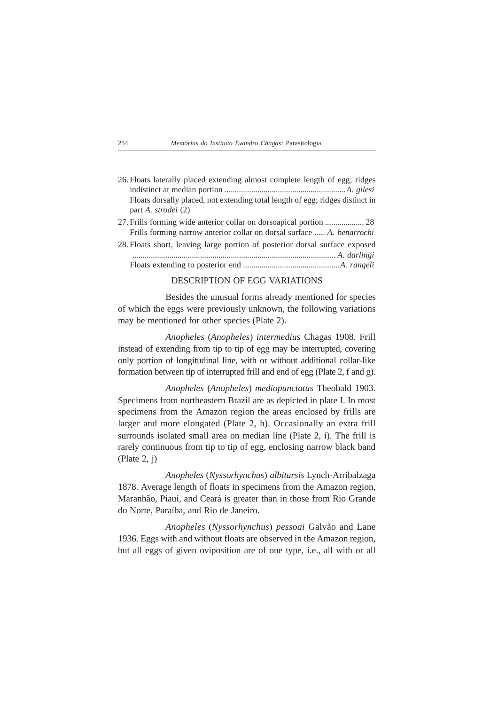| 254 | Memórias do Instituto Evandro Chagas: Parasitologia |  |  |  |  |  |  |
|-----|-----------------------------------------------------|--|--|--|--|--|--|
|-----|-----------------------------------------------------|--|--|--|--|--|--|

| 26. Floats laterally placed extending almost complete length of egg; ridges   |
|-------------------------------------------------------------------------------|
|                                                                               |
| Floats dorsally placed, not extending total length of egg; ridges distinct in |
| part A. <i>strodei</i> (2)                                                    |
|                                                                               |
| Frills forming narrow anterior collar on dorsal surface  A. benarrochi        |
| 28. Floats short, leaving large portion of posterior dorsal surface exposed   |

|  |  |  |  |  |  |  | off roman prioral remaining the governor of population corpus partner with open |  |
|--|--|--|--|--|--|--|---------------------------------------------------------------------------------|--|
|  |  |  |  |  |  |  |                                                                                 |  |
|  |  |  |  |  |  |  |                                                                                 |  |

### DESCRIPTION OF EGG VARIATIONS

Besides the unusual forms already mentioned for species of which the eggs were previously unknown, the following variations may be mentioned for other species (Plate 2).

*Anopheles* (*Anopheles*) *intermedius* Chagas 1908. Frill instead of extending from tip to tip of egg may be interrupted, covering only portion of longitudinal line, with or without additional collar-like formation between tip of interrupted frill and end of egg (Plate 2, f and g).

*Anopheles* (*Anopheles*) *mediopunctatus* Theobald 1903. Specimens from northeastern Brazil are as depicted in plate I. In most specimens from the Amazon region the areas enclosed by frills are larger and more elongated (Plate 2, h). Occasionally an extra frill surrounds isolated small area on median line (Plate 2, i). The frill is rarely continuous from tip to tip of egg, enclosing narrow black band (Plate 2, j)

*Anopheles* (*Nyssorhynchus*) *albitarsis* Lynch-Arribalzaga 1878. Average length of floats in specimens from the Amazon region, Maranhão, Piauí, and Ceará is greater than in those from Rio Grande do Norte, Paraíba, and Rio de Janeiro.

*Anopheles* (*Nyssorhynchus*) *pessoai* Galvão and Lane 1936. Eggs with and without floats are observed in the Amazon region, but all eggs of given oviposition are of one type, i.e., all with or all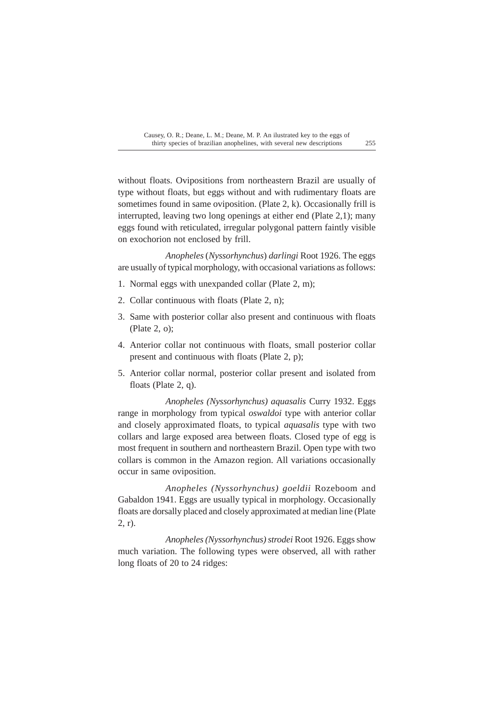without floats. Ovipositions from northeastern Brazil are usually of type without floats, but eggs without and with rudimentary floats are sometimes found in same oviposition. (Plate 2, k). Occasionally frill is interrupted, leaving two long openings at either end (Plate 2,1); many eggs found with reticulated, irregular polygonal pattern faintly visible on exochorion not enclosed by frill.

*Anopheles* (*Nyssorhynchus*) *darlingi* Root 1926. The eggs are usually of typical morphology, with occasional variations as follows:

- 1. Normal eggs with unexpanded collar (Plate 2, m);
- 2. Collar continuous with floats (Plate 2, n);
- 3. Same with posterior collar also present and continuous with floats (Plate 2, o);
- 4. Anterior collar not continuous with floats, small posterior collar present and continuous with floats (Plate 2, p);
- 5. Anterior collar normal, posterior collar present and isolated from floats (Plate 2, q).

*Anopheles (Nyssorhynchus) aquasalis* Curry 1932. Eggs range in morphology from typical *oswaldoi* type with anterior collar and closely approximated floats, to typical *aquasalis* type with two collars and large exposed area between floats. Closed type of egg is most frequent in southern and northeastern Brazil. Open type with two collars is common in the Amazon region. All variations occasionally occur in same oviposition.

*Anopheles (Nyssorhynchus) goeldii* Rozeboom and Gabaldon 1941. Eggs are usually typical in morphology. Occasionally floats are dorsally placed and closely approximated at median line (Plate 2, r).

*Anopheles (Nyssorhynchus) strodei* Root 1926. Eggs show much variation. The following types were observed, all with rather long floats of 20 to 24 ridges: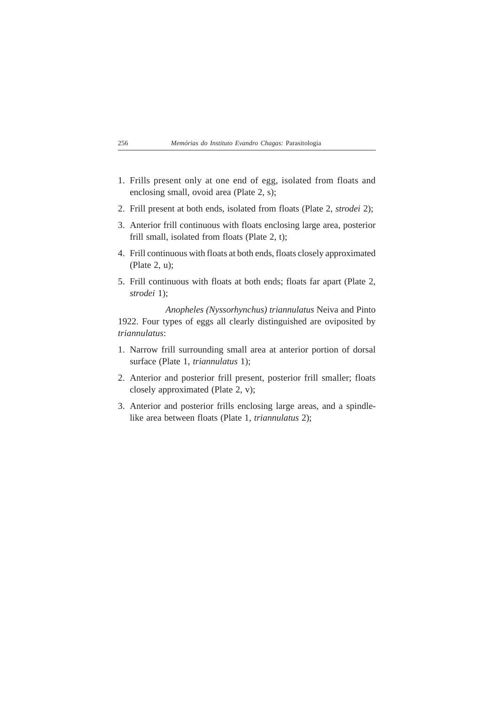- 1. Frills present only at one end of egg, isolated from floats and enclosing small, ovoid area (Plate 2, s);
- 2. Frill present at both ends, isolated from floats (Plate 2, *strodei* 2);
- 3. Anterior frill continuous with floats enclosing large area, posterior frill small, isolated from floats (Plate 2, t);
- 4. Frill continuous with floats at both ends, floats closely approximated (Plate 2, u);
- 5. Frill continuous with floats at both ends; floats far apart (Plate 2, *strodei* 1);

*Anopheles (Nyssorhynchus) triannulatus* Neiva and Pinto 1922. Four types of eggs all clearly distinguished are oviposited by *triannulatus*:

- 1. Narrow frill surrounding small area at anterior portion of dorsal surface (Plate 1, *triannulatus* 1);
- 2. Anterior and posterior frill present, posterior frill smaller; floats closely approximated (Plate 2, v);
- 3. Anterior and posterior frills enclosing large areas, and a spindlelike area between floats (Plate 1, *triannulatus* 2);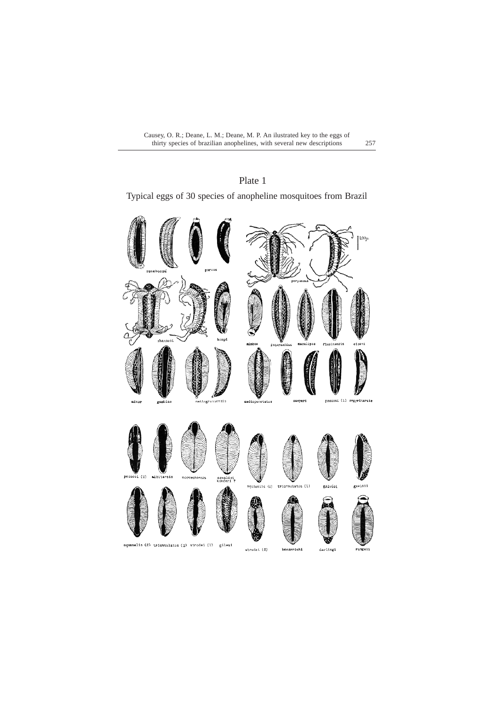# Plate 1

Typical eggs of 30 species of anopheline mosquitoes from Brazil

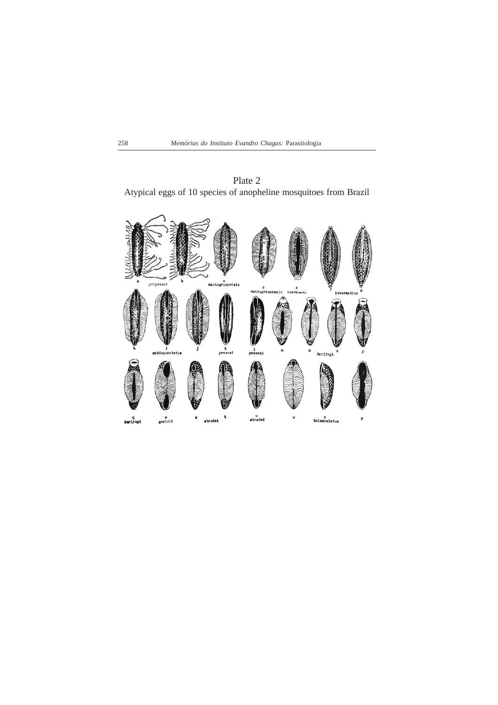

Plate 2 Atypical eggs of 10 species of anopheline mosquitoes from Brazil

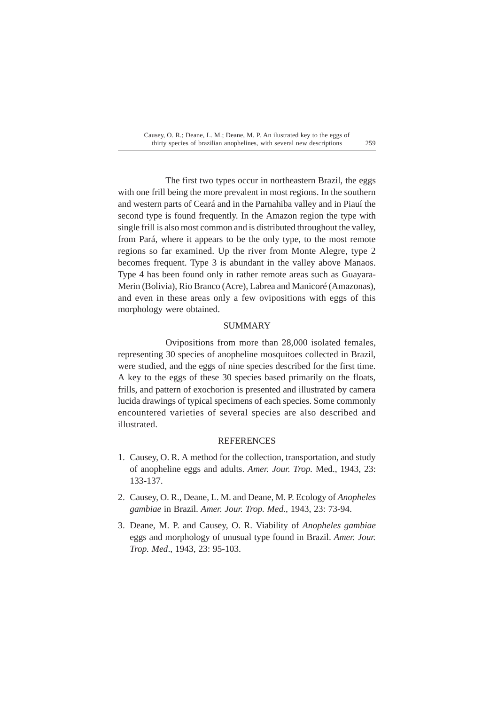The first two types occur in northeastern Brazil, the eggs with one frill being the more prevalent in most regions. In the southern and western parts of Ceará and in the Parnahiba valley and in Piauí the second type is found frequently. In the Amazon region the type with single frill is also most common and is distributed throughout the valley, from Pará, where it appears to be the only type, to the most remote regions so far examined. Up the river from Monte Alegre, type 2 becomes frequent. Type 3 is abundant in the valley above Manaos. Type 4 has been found only in rather remote areas such as Guayara-Merin (Bolivia), Rio Branco (Acre), Labrea and Manicoré (Amazonas), and even in these areas only a few ovipositions with eggs of this morphology were obtained.

### SUMMARY

Ovipositions from more than 28,000 isolated females, representing 30 species of anopheline mosquitoes collected in Brazil, were studied, and the eggs of nine species described for the first time. A key to the eggs of these 30 species based primarily on the floats, frills, and pattern of exochorion is presented and illustrated by camera lucida drawings of typical specimens of each species. Some commonly encountered varieties of several species are also described and illustrated.

### **REFERENCES**

- 1. Causey, O. R. A method for the collection, transportation, and study of anopheline eggs and adults. *Amer. Jour. Trop.* Med., 1943, 23: 133-137.
- 2. Causey, O. R., Deane, L. M. and Deane, M. P. Ecology of *Anopheles gambiae* in Brazil. *Amer. Jour. Trop. Med*., 1943, 23: 73-94.
- 3. Deane, M. P. and Causey, O. R. Viability of *Anopheles gambiae* eggs and morphology of unusual type found in Brazil. *Amer. Jour. Trop. Med*., 1943, 23: 95-103.